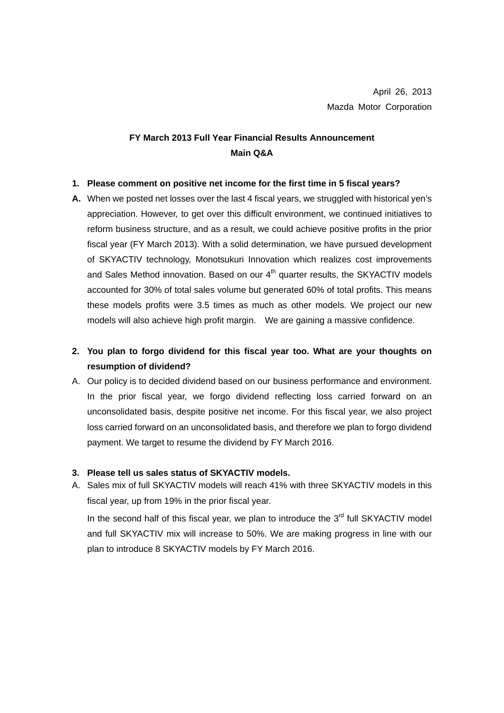# **FY March 2013 Full Year Financial Results Announcement Main Q&A**

### **1. Please comment on positive net income for the first time in 5 fiscal years?**

**A.** When we posted net losses over the last 4 fiscal years, we struggled with historical yen's appreciation. However, to get over this difficult environment, we continued initiatives to reform business structure, and as a result, we could achieve positive profits in the prior fiscal year (FY March 2013). With a solid determination, we have pursued development of SKYACTIV technology, Monotsukuri Innovation which realizes cost improvements and Sales Method innovation. Based on our 4<sup>th</sup> quarter results, the SKYACTIV models accounted for 30% of total sales volume but generated 60% of total profits. This means these models profits were 3.5 times as much as other models. We project our new models will also achieve high profit margin. We are gaining a massive confidence.

## **2. You plan to forgo dividend for this fiscal year too. What are your thoughts on resumption of dividend?**

A. Our policy is to decided dividend based on our business performance and environment. In the prior fiscal year, we forgo dividend reflecting loss carried forward on an unconsolidated basis, despite positive net income. For this fiscal year, we also project loss carried forward on an unconsolidated basis, and therefore we plan to forgo dividend payment. We target to resume the dividend by FY March 2016.

### **3. Please tell us sales status of SKYACTIV models.**

A. Sales mix of full SKYACTIV models will reach 41% with three SKYACTIV models in this fiscal year, up from 19% in the prior fiscal year.

In the second half of this fiscal year, we plan to introduce the  $3<sup>rd</sup>$  full SKYACTIV model and full SKYACTIV mix will increase to 50%. We are making progress in line with our plan to introduce 8 SKYACTIV models by FY March 2016.